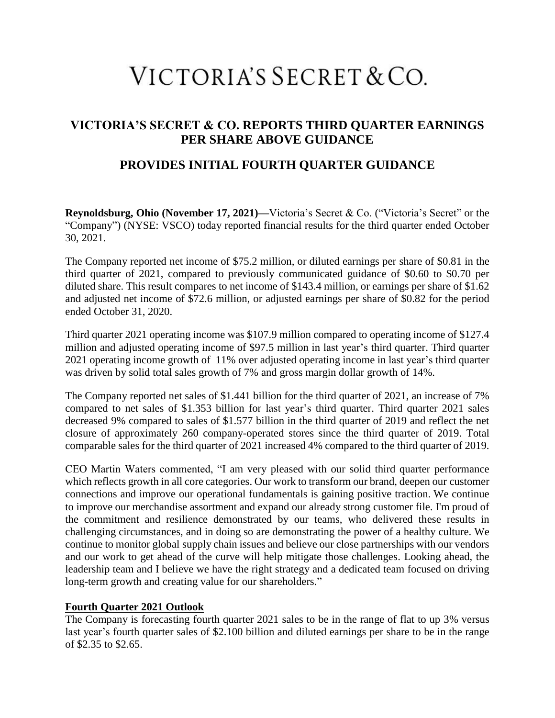# VICTORIA'S SECRET & CO.

# **VICTORIA'S SECRET & CO. REPORTS THIRD QUARTER EARNINGS PER SHARE ABOVE GUIDANCE**

# **PROVIDES INITIAL FOURTH QUARTER GUIDANCE**

**Reynoldsburg, Ohio (November 17, 2021)—Victoria's Secret & Co. ("Victoria's Secret" or the** "Company") (NYSE: VSCO) today reported financial results for the third quarter ended October 30, 2021.

The Company reported net income of \$75.2 million, or diluted earnings per share of \$0.81 in the third quarter of 2021, compared to previously communicated guidance of \$0.60 to \$0.70 per diluted share. This result compares to net income of \$143.4 million, or earnings per share of \$1.62 and adjusted net income of \$72.6 million, or adjusted earnings per share of \$0.82 for the period ended October 31, 2020.

Third quarter 2021 operating income was \$107.9 million compared to operating income of \$127.4 million and adjusted operating income of \$97.5 million in last year's third quarter. Third quarter 2021 operating income growth of 11% over adjusted operating income in last year's third quarter was driven by solid total sales growth of 7% and gross margin dollar growth of 14%.

The Company reported net sales of \$1.441 billion for the third quarter of 2021, an increase of 7% compared to net sales of \$1.353 billion for last year's third quarter. Third quarter 2021 sales decreased 9% compared to sales of \$1.577 billion in the third quarter of 2019 and reflect the net closure of approximately 260 company-operated stores since the third quarter of 2019. Total comparable sales for the third quarter of 2021 increased 4% compared to the third quarter of 2019.

CEO Martin Waters commented, "I am very pleased with our solid third quarter performance which reflects growth in all core categories. Our work to transform our brand, deepen our customer connections and improve our operational fundamentals is gaining positive traction. We continue to improve our merchandise assortment and expand our already strong customer file. I'm proud of the commitment and resilience demonstrated by our teams, who delivered these results in challenging circumstances, and in doing so are demonstrating the power of a healthy culture. We continue to monitor global supply chain issues and believe our close partnerships with our vendors and our work to get ahead of the curve will help mitigate those challenges. Looking ahead, the leadership team and I believe we have the right strategy and a dedicated team focused on driving long-term growth and creating value for our shareholders."

# **Fourth Quarter 2021 Outlook**

The Company is forecasting fourth quarter 2021 sales to be in the range of flat to up 3% versus last year's fourth quarter sales of \$2.100 billion and diluted earnings per share to be in the range of \$2.35 to \$2.65.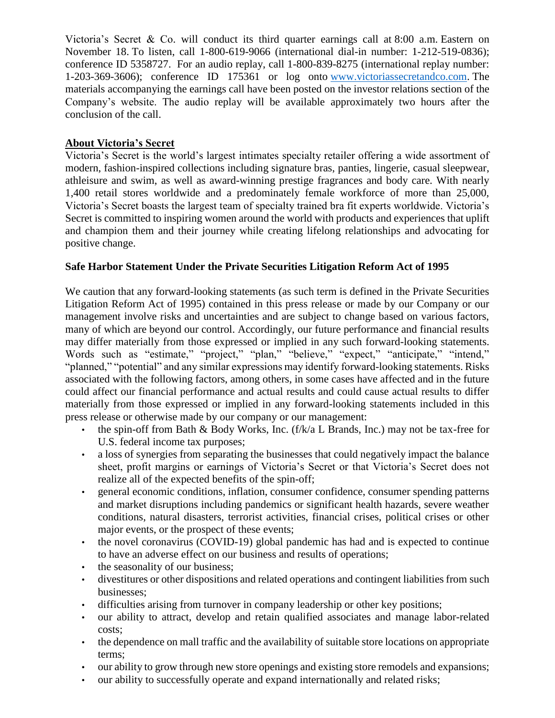Victoria's Secret & Co. will conduct its third quarter earnings call at 8:00 a.m. Eastern on November 18. To listen, call 1-800-619-9066 (international dial-in number: 1-212-519-0836); conference ID 5358727. For an audio replay, call 1-800-839-8275 (international replay number: 1-203-369-3606); conference ID 175361 or log onto [www.victoriassecretandco.com.](http://www.victoriassecretandco.com/) The materials accompanying the earnings call have been posted on the investor relations section of the Company's website. The audio replay will be available approximately two hours after the conclusion of the call.

# **About Victoria's Secret**

Victoria's Secret is the world's largest intimates specialty retailer offering a wide assortment of modern, fashion-inspired collections including signature bras, panties, lingerie, casual sleepwear, athleisure and swim, as well as award-winning prestige fragrances and body care. With nearly 1,400 retail stores worldwide and a predominately female workforce of more than 25,000, Victoria's Secret boasts the largest team of specialty trained bra fit experts worldwide. Victoria's Secret is committed to inspiring women around the world with products and experiences that uplift and champion them and their journey while creating lifelong relationships and advocating for positive change.

# **Safe Harbor Statement Under the Private Securities Litigation Reform Act of 1995**

We caution that any forward-looking statements (as such term is defined in the Private Securities Litigation Reform Act of 1995) contained in this press release or made by our Company or our management involve risks and uncertainties and are subject to change based on various factors, many of which are beyond our control. Accordingly, our future performance and financial results may differ materially from those expressed or implied in any such forward-looking statements. Words such as "estimate," "project," "plan," "believe," "expect," "anticipate," "intend," "planned," "potential" and any similar expressions may identify forward-looking statements. Risks associated with the following factors, among others, in some cases have affected and in the future could affect our financial performance and actual results and could cause actual results to differ materially from those expressed or implied in any forward-looking statements included in this press release or otherwise made by our company or our management:

- the spin-off from Bath & Body Works, Inc. (f/k/a L Brands, Inc.) may not be tax-free for U.S. federal income tax purposes;
- a loss of synergies from separating the businesses that could negatively impact the balance sheet, profit margins or earnings of Victoria's Secret or that Victoria's Secret does not realize all of the expected benefits of the spin-off;
- general economic conditions, inflation, consumer confidence, consumer spending patterns and market disruptions including pandemics or significant health hazards, severe weather conditions, natural disasters, terrorist activities, financial crises, political crises or other major events, or the prospect of these events;
- the novel coronavirus (COVID-19) global pandemic has had and is expected to continue to have an adverse effect on our business and results of operations;
- the seasonality of our business;
- divestitures or other dispositions and related operations and contingent liabilities from such businesses;
- difficulties arising from turnover in company leadership or other key positions;
- our ability to attract, develop and retain qualified associates and manage labor-related costs;
- the dependence on mall traffic and the availability of suitable store locations on appropriate terms;
- our ability to grow through new store openings and existing store remodels and expansions;
- our ability to successfully operate and expand internationally and related risks;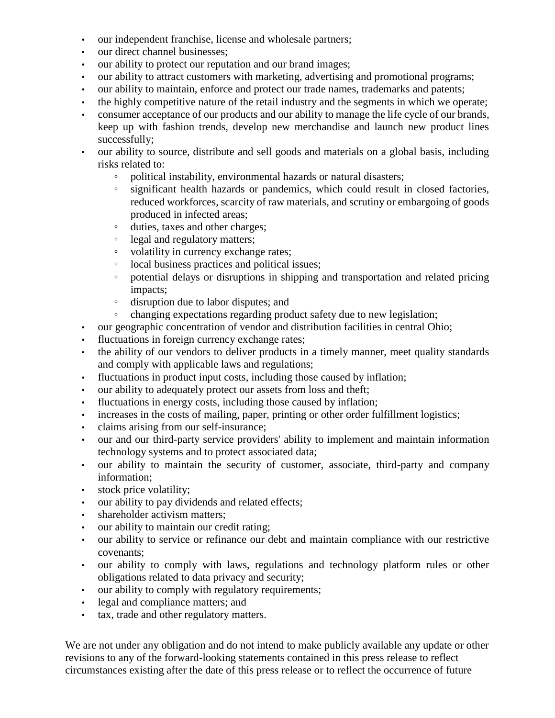- our independent franchise, license and wholesale partners;
- our direct channel businesses;
- our ability to protect our reputation and our brand images;
- our ability to attract customers with marketing, advertising and promotional programs;
- our ability to maintain, enforce and protect our trade names, trademarks and patents;
- the highly competitive nature of the retail industry and the segments in which we operate;
- consumer acceptance of our products and our ability to manage the life cycle of our brands, keep up with fashion trends, develop new merchandise and launch new product lines successfully;
- our ability to source, distribute and sell goods and materials on a global basis, including risks related to:
	- political instability, environmental hazards or natural disasters;
	- significant health hazards or pandemics, which could result in closed factories, reduced workforces, scarcity of raw materials, and scrutiny or embargoing of goods produced in infected areas;
	- duties, taxes and other charges;
	- legal and regulatory matters;
	- volatility in currency exchange rates;
	- local business practices and political issues;
	- potential delays or disruptions in shipping and transportation and related pricing impacts;
	- disruption due to labor disputes; and
	- changing expectations regarding product safety due to new legislation;
- our geographic concentration of vendor and distribution facilities in central Ohio;
- fluctuations in foreign currency exchange rates;
- the ability of our vendors to deliver products in a timely manner, meet quality standards and comply with applicable laws and regulations;
- fluctuations in product input costs, including those caused by inflation;
- our ability to adequately protect our assets from loss and theft;
- fluctuations in energy costs, including those caused by inflation;
- increases in the costs of mailing, paper, printing or other order fulfillment logistics;
- claims arising from our self-insurance;
- our and our third-party service providers' ability to implement and maintain information technology systems and to protect associated data;
- our ability to maintain the security of customer, associate, third-party and company information;
- stock price volatility;
- our ability to pay dividends and related effects;
- shareholder activism matters:
- our ability to maintain our credit rating;
- our ability to service or refinance our debt and maintain compliance with our restrictive covenants;
- our ability to comply with laws, regulations and technology platform rules or other obligations related to data privacy and security;
- our ability to comply with regulatory requirements;
- legal and compliance matters; and
- tax, trade and other regulatory matters.

We are not under any obligation and do not intend to make publicly available any update or other revisions to any of the forward-looking statements contained in this press release to reflect circumstances existing after the date of this press release or to reflect the occurrence of future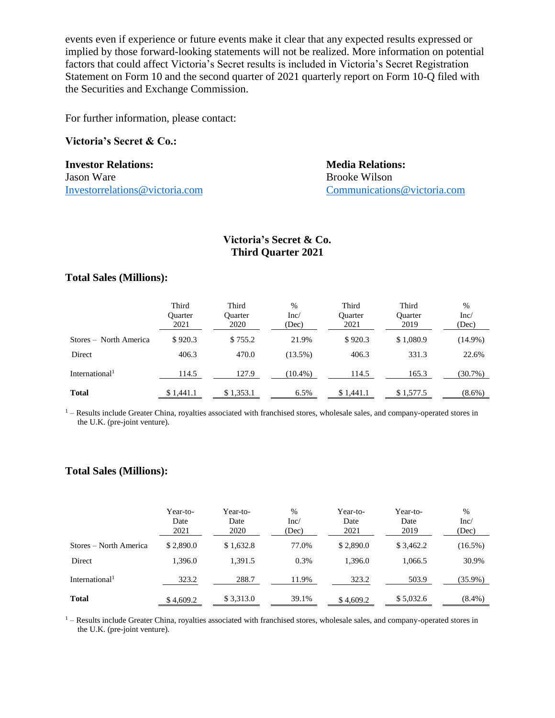events even if experience or future events make it clear that any expected results expressed or implied by those forward-looking statements will not be realized. More information on potential factors that could affect Victoria's Secret results is included in Victoria's Secret Registration Statement on Form 10 and the second quarter of 2021 quarterly report on Form 10-Q filed with the Securities and Exchange Commission.

For further information, please contact:

## **Victoria's Secret & Co.:**

**Investor Relations:** Media Relations: Jason Ware Brooke Wilson

I[nvestorr](mailto:investor)elations@victoria.com [Communications@victoria.com](mailto:Communications@victoria.com)

# **Victoria's Secret & Co. Third Quarter 2021**

## **Total Sales (Millions):**

|                            | Third<br>Ouarter<br>2021 | Third<br>Ouarter<br>2020 | $\%$<br>Inc/<br>(Dec) | Third<br>Ouarter<br>2021 | Third<br>Ouarter<br>2019 | %<br>Inc/<br>(Dec) |
|----------------------------|--------------------------|--------------------------|-----------------------|--------------------------|--------------------------|--------------------|
| Stores – North America     | \$920.3                  | \$755.2                  | 21.9%                 | \$920.3                  | \$1,080.9                | $(14.9\%)$         |
| Direct                     | 406.3                    | 470.0                    | $(13.5\%)$            | 406.3                    | 331.3                    | 22.6%              |
| International <sup>1</sup> | 114.5                    | 127.9                    | $(10.4\%)$            | 114.5                    | 165.3                    | (30.7%)            |
| <b>Total</b>               | \$1,441.1                | \$1,353.1                | 6.5%                  | \$1,441.1                | \$1,577.5                | $(8.6\%)$          |

 $<sup>1</sup>$  – Results include Greater China, royalties associated with franchised stores, wholesale sales, and company-operated stores in</sup> the U.K. (pre-joint venture).

# **Total Sales (Millions):**

|                            | Year-to-<br>Date<br>2021 | Year-to-<br>Date<br>2020 | $\%$<br>Inc/<br>(Dec) | Year-to-<br>Date<br>2021 | Year-to-<br>Date<br>2019 | $\%$<br>Inc/<br>(Dec) |
|----------------------------|--------------------------|--------------------------|-----------------------|--------------------------|--------------------------|-----------------------|
| Stores – North America     | \$2,890.0                | \$1,632.8                | 77.0%                 | \$2,890.0                | \$3,462.2                | $(16.5\%)$            |
| Direct                     | 1.396.0                  | 1,391.5                  | 0.3%                  | 1.396.0                  | 1.066.5                  | 30.9%                 |
| International <sup>1</sup> | 323.2                    | 288.7                    | 11.9%                 | 323.2                    | 503.9                    | $(35.9\%)$            |
| <b>Total</b>               | \$4,609.2                | \$3,313.0                | 39.1%                 | \$4,609.2                | \$5,032.6                | $(8.4\%)$             |

 $<sup>1</sup>$  – Results include Greater China, royalties associated with franchised stores, wholesale sales, and company-operated stores in</sup> the U.K. (pre-joint venture).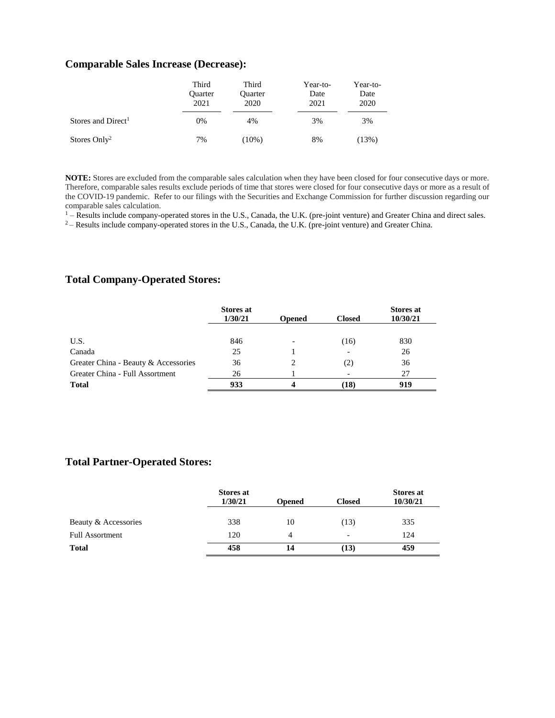# **Comparable Sales Increase (Decrease):**

|                                | Third<br><b>Ouarter</b><br>2021 | Third<br>Quarter<br>2020 | Year-to-<br>Date<br>2021 | Year-to-<br>Date<br>2020 |
|--------------------------------|---------------------------------|--------------------------|--------------------------|--------------------------|
| Stores and Direct <sup>1</sup> | 0%                              | 4%                       | 3%                       | 3%                       |
| Stores $Only^2$                | 7%                              | $(10\%)$                 | 8%                       | (13%)                    |

**NOTE:** Stores are excluded from the comparable sales calculation when they have been closed for four consecutive days or more. Therefore, comparable sales results exclude periods of time that stores were closed for four consecutive days or more as a result of the COVID-19 pandemic. Refer to our filings with the Securities and Exchange Commission for further discussion regarding our comparable sales calculation.

 $1 -$  Results include company-operated stores in the U.S., Canada, the U.K. (pre-joint venture) and Greater China and direct sales.

 $2-$  Results include company-operated stores in the U.S., Canada, the U.K. (pre-joint venture) and Greater China.

# **Total Company-Operated Stores:**

|                                      | <b>Stores at</b><br>1/30/21 | <b>Opened</b> | <b>Closed</b> | <b>Stores at</b><br>10/30/21 |
|--------------------------------------|-----------------------------|---------------|---------------|------------------------------|
| U.S.                                 | 846                         |               | (16)          | 830                          |
| Canada                               | 25                          |               |               | 26                           |
| Greater China - Beauty & Accessories | 36                          |               | (2)           | 36                           |
| Greater China - Full Assortment      | 26                          |               |               | 27                           |
| <b>Total</b>                         | 933                         | 4             | 18)           | 919                          |

# **Total Partner-Operated Stores:**

|                        | <b>Stores at</b> |               |                          | <b>Stores at</b> |
|------------------------|------------------|---------------|--------------------------|------------------|
|                        | 1/30/21          | <b>Opened</b> | <b>Closed</b>            | 10/30/21         |
| Beauty & Accessories   | 338              | 10            | (13)                     | 335              |
| <b>Full Assortment</b> | 120              | 4             | $\overline{\phantom{0}}$ | 124              |
| <b>Total</b>           | 458              | 14            | (13)                     | 459              |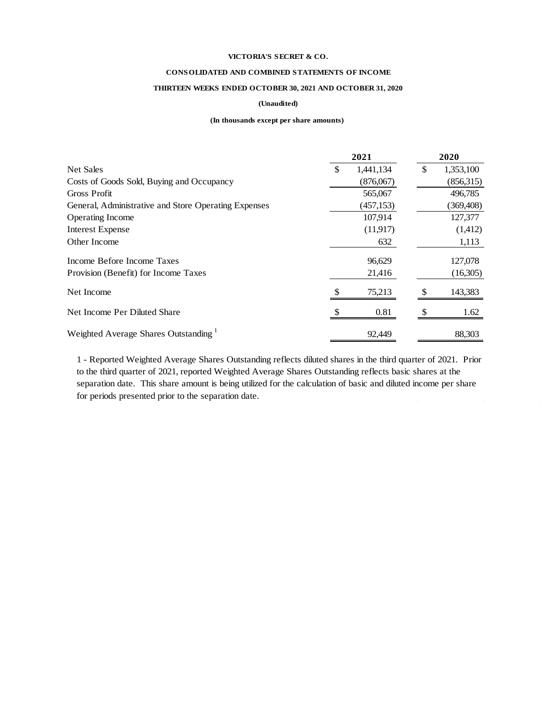### **VICTORIA'S SECRET & CO.**

#### **CONSOLIDATED AND COMBINED STATEMENTS OF INCOME**

#### **THIRTEEN WEEKS ENDED OCTOBER 30, 2021 AND OCTOBER 31, 2020**

#### **(Unaudited)**

#### **(In thousands except per share amounts)**

|                                                                                                                                                                                                                                                                                                                   | 2021            | 2020          |            |  |  |
|-------------------------------------------------------------------------------------------------------------------------------------------------------------------------------------------------------------------------------------------------------------------------------------------------------------------|-----------------|---------------|------------|--|--|
| Net Sales<br>Costs of Goods Sold, Buying and Occupancy<br>Gross Profit<br>General, Administrative and Store Operating Expenses<br><b>Operating Income</b><br>Interest Expense<br>Other Income<br>Income Before Income Taxes<br>Provision (Benefit) for Income Taxes<br>Net Income<br>Net Income Per Diluted Share | \$<br>1,441,134 | <sup>\$</sup> | 1,353,100  |  |  |
|                                                                                                                                                                                                                                                                                                                   | (876,067)       |               | (856,315)  |  |  |
|                                                                                                                                                                                                                                                                                                                   | 565,067         |               | 496,785    |  |  |
|                                                                                                                                                                                                                                                                                                                   | (457, 153)      |               | (369, 408) |  |  |
|                                                                                                                                                                                                                                                                                                                   | 107,914         |               | 127,377    |  |  |
|                                                                                                                                                                                                                                                                                                                   | (11, 917)       |               | (1,412)    |  |  |
|                                                                                                                                                                                                                                                                                                                   | 632             |               | 1,113      |  |  |
|                                                                                                                                                                                                                                                                                                                   | 96,629          |               | 127,078    |  |  |
|                                                                                                                                                                                                                                                                                                                   | 21,416          |               | (16,305)   |  |  |
|                                                                                                                                                                                                                                                                                                                   | 75,213          |               | 143,383    |  |  |
|                                                                                                                                                                                                                                                                                                                   | 0.81            |               | 1.62       |  |  |
| Weighted Average Shares Outstanding                                                                                                                                                                                                                                                                               | 92,449          |               | 88,303     |  |  |

1 - Reported Weighted Average Shares Outstanding reflects diluted shares in the third quarter of 2021. Prior to the third quarter of 2021, reported Weighted Average Shares Outstanding reflects basic shares at the separation date. This share amount is being utilized for the calculation of basic and diluted income per share for periods presented prior to the separation date.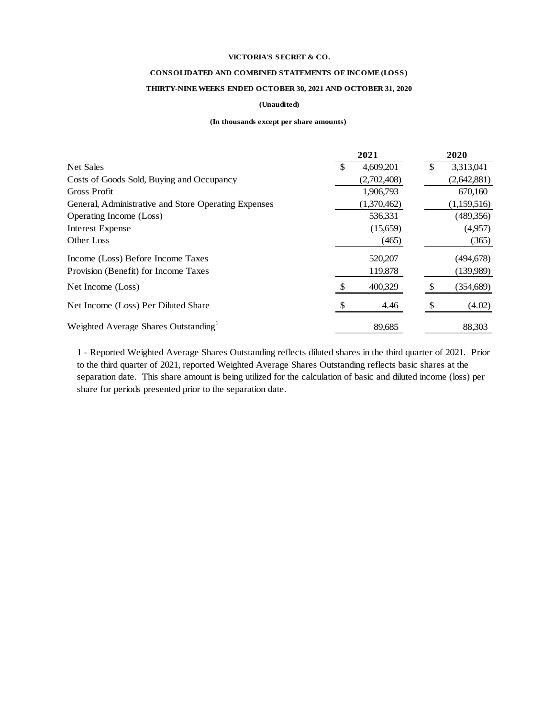#### **VICTORIA'S SECRET & CO.**

#### **CONSOLIDATED AND COMBINED STATEMENTS OF INCOME (LOSS)**

#### **THIRTY-NINE WEEKS ENDED OCTOBER 30, 2021 AND OCTOBER 31, 2020**

#### **(Unaudited)**

#### **(In thousands except per share amounts)**

|                                                      | 2021            | 2020 |             |  |  |
|------------------------------------------------------|-----------------|------|-------------|--|--|
| <b>Net Sales</b>                                     | \$<br>4,609,201 | \$.  | 3,313,041   |  |  |
| Costs of Goods Sold, Buying and Occupancy            | (2,702,408)     |      | (2,642,881) |  |  |
| <b>Gross Profit</b>                                  | 1,906,793       |      | 670,160     |  |  |
| General, Administrative and Store Operating Expenses | (1,370,462)     |      | (1,159,516) |  |  |
| Operating Income (Loss)                              | 536,331         |      | (489, 356)  |  |  |
| <b>Interest Expense</b>                              | (15,659)        |      | (4,957)     |  |  |
| Other Loss                                           | (465)           |      | (365)       |  |  |
| Income (Loss) Before Income Taxes                    | 520,207         |      | (494, 678)  |  |  |
| Provision (Benefit) for Income Taxes                 | 119,878         |      | (139,989)   |  |  |
| Net Income (Loss)                                    | 400,329         |      | (354, 689)  |  |  |
| Net Income (Loss) Per Diluted Share                  | 4.46            |      | (4.02)      |  |  |
| Weighted Average Shares Outstanding                  | 89,685          |      | 88,303      |  |  |

1 - Reported Weighted Average Shares Outstanding reflects diluted shares in the third quarter of 2021. Prior to the third quarter of 2021, reported Weighted Average Shares Outstanding reflects basic shares at the separation date. This share amount is being utilized for the calculation of basic and diluted income (loss) per share for periods presented prior to the separation date.